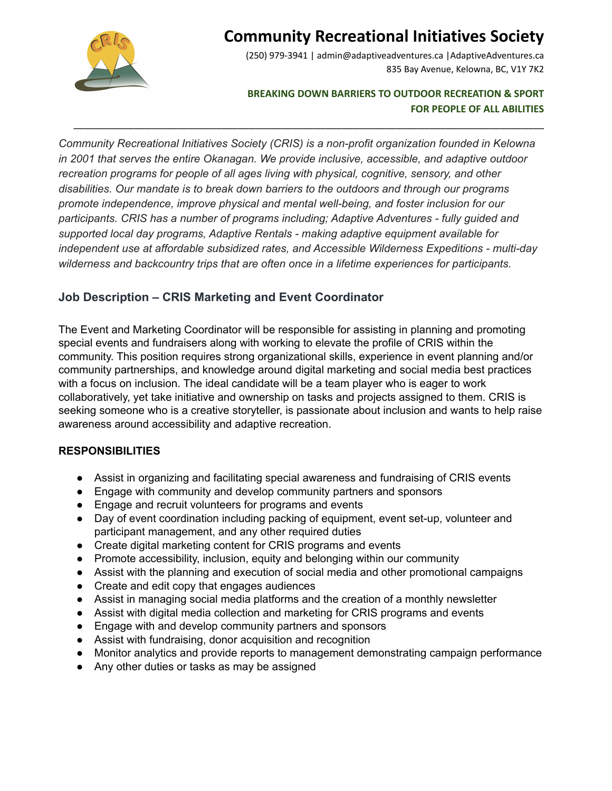

# **Community Recreational Initiatives Society**

(250) 979-3941 | admin@adaptiveadventures.ca |AdaptiveAdventures.ca 835 Bay Avenue, Kelowna, BC, V1Y 7K2

#### **BREAKING DOWN BARRIERS TO OUTDOOR RECREATION & SPORT FOR PEOPLE OF ALL ABILITIES**

*Community Recreational Initiatives Society (CRIS) is a non-profit organization founded in Kelowna in 2001 that serves the entire Okanagan. We provide inclusive, accessible, and adaptive outdoor recreation programs for people of all ages living with physical, cognitive, sensory, and other disabilities. Our mandate is to break down barriers to the outdoors and through our programs promote independence, improve physical and mental well-being, and foster inclusion for our participants. CRIS has a number of programs including; Adaptive Adventures - fully guided and supported local day programs, Adaptive Rentals - making adaptive equipment available for independent use at affordable subsidized rates, and Accessible Wilderness Expeditions - multi-day wilderness and backcountry trips that are often once in a lifetime experiences for participants.*

\_\_\_\_\_\_\_\_\_\_\_\_\_\_\_\_\_\_\_\_\_\_\_\_\_\_\_\_\_\_\_\_\_\_\_\_\_\_\_\_\_\_\_\_\_\_\_\_\_\_\_\_\_\_\_\_\_\_\_\_\_\_\_\_\_\_\_\_\_\_\_\_\_\_\_\_\_\_\_\_\_\_\_\_\_\_

# **Job Description – CRIS Marketing and Event Coordinator**

The Event and Marketing Coordinator will be responsible for assisting in planning and promoting special events and fundraisers along with working to elevate the profile of CRIS within the community. This position requires strong organizational skills, experience in event planning and/or community partnerships, and knowledge around digital marketing and social media best practices with a focus on inclusion. The ideal candidate will be a team player who is eager to work collaboratively, yet take initiative and ownership on tasks and projects assigned to them. CRIS is seeking someone who is a creative storyteller, is passionate about inclusion and wants to help raise awareness around accessibility and adaptive recreation.

#### **RESPONSIBILITIES**

- Assist in organizing and facilitating special awareness and fundraising of CRIS events
- Engage with community and develop community partners and sponsors
- Engage and recruit volunteers for programs and events
- Day of event coordination including packing of equipment, event set-up, volunteer and participant management, and any other required duties
- Create digital marketing content for CRIS programs and events
- Promote accessibility, inclusion, equity and belonging within our community
- Assist with the planning and execution of social media and other promotional campaigns
- Create and edit copy that engages audiences
- Assist in managing social media platforms and the creation of a monthly newsletter
- Assist with digital media collection and marketing for CRIS programs and events
- Engage with and develop community partners and sponsors
- Assist with fundraising, donor acquisition and recognition
- Monitor analytics and provide reports to management demonstrating campaign performance
- Any other duties or tasks as may be assigned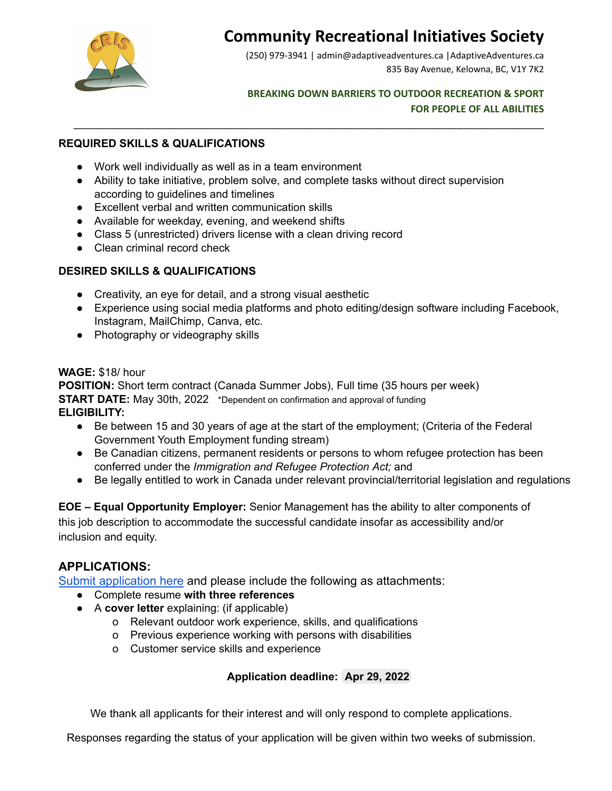

# **Community Recreational Initiatives Society**

(250) 979-3941 | admin@adaptiveadventures.ca |AdaptiveAdventures.ca 835 Bay Avenue, Kelowna, BC, V1Y 7K2

## **BREAKING DOWN BARRIERS TO OUTDOOR RECREATION & SPORT FOR PEOPLE OF ALL ABILITIES**

#### **REQUIRED SKILLS & QUALIFICATIONS**

- Work well individually as well as in a team environment
- Ability to take initiative, problem solve, and complete tasks without direct supervision according to guidelines and timelines

\_\_\_\_\_\_\_\_\_\_\_\_\_\_\_\_\_\_\_\_\_\_\_\_\_\_\_\_\_\_\_\_\_\_\_\_\_\_\_\_\_\_\_\_\_\_\_\_\_\_\_\_\_\_\_\_\_\_\_\_\_\_\_\_\_\_\_\_\_\_\_\_\_\_\_\_\_\_\_\_\_\_\_\_\_\_

- Excellent verbal and written communication skills
- Available for weekday, evening, and weekend shifts
- Class 5 (unrestricted) drivers license with a clean driving record
- Clean criminal record check

#### **DESIRED SKILLS & QUALIFICATIONS**

- Creativity, an eye for detail, and a strong visual aesthetic
- Experience using social media platforms and photo editing/design software including Facebook, Instagram, MailChimp, Canva, etc.
- Photography or videography skills

#### **WAGE:** \$18/ hour

**POSITION:** Short term contract (Canada Summer Jobs), Full time (35 hours per week) **START DATE:** May 30th, 2022 \*Dependent on confirmation and approval of funding **ELIGIBILITY:**

- Be between 15 and 30 years of age at the start of the employment; (Criteria of the Federal Government Youth Employment funding stream)
- Be Canadian citizens, permanent residents or persons to whom refugee protection has been conferred under the *Immigration and Refugee Protection Act;* and
- Be legally entitled to work in Canada under relevant provincial/territorial legislation and regulations

**EOE – Equal Opportunity Employer:** Senior Management has the ability to alter components of this job description to accommodate the successful candidate insofar as accessibility and/or inclusion and equity.

### **APPLICATIONS:**

[Submit application here](https://form.jotform.com/210665537828262) and please include the following as attachments:

- Complete resume **with three references**
- A **cover letter** explaining: (if applicable)
	- o Relevant outdoor work experience, skills, and qualifications
	- o Previous experience working with persons with disabilities
	- o Customer service skills and experience

### **Application deadline: Apr 29, 2022**

We thank all applicants for their interest and will only respond to complete applications.

Responses regarding the status of your application will be given within two weeks of submission.